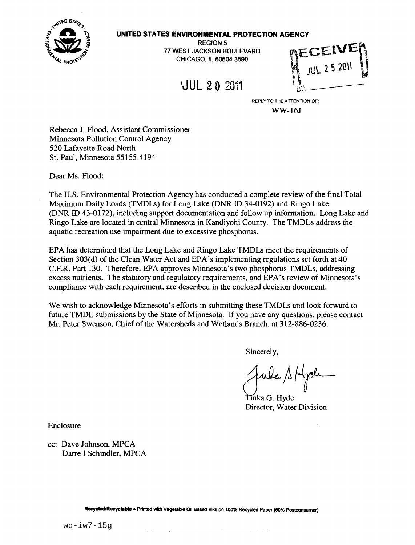

### **UNITED STATES ENVIRONMENTAL PROTECTION AGENCY**

REGION 5 77 WEST JACKSON BOULEVARD CHICAGO, IL 60604-3590

!JUL 20 2011

REPLY TO THE ATTENTION OF: WW-16J

Rebecca J. Flood, Assistant Commissioner Minnesota Pollution Control Agency 520 Lafayette Road North St. Paul, Minnesota 55155-4194

Dear Ms. Flood:

The U.S. Environmental Protection Agency has conducted a complete review of the final Total Maximum Daily Loads (TMDLs) for Long Lake (DNR ID 34-0192) and Ringo Lake (DNR ID 43-0172), including support documentation and follow up information. Long Lake and Ringo Lake are located in central Minnesota in Kandiyohi County. The TMDLs address the aquatic recreation use impairment due to excessive phosphorus.

EPA has detennined that the Long Lake and Ringo Lake TMDLs meet the requirements of Section 303(d) of the Clean Water Act and EPA's implementing regulations set forth at 40 C.P.R. Part 130. Therefore, EPA approves Minnesota's two phosphorus TMDLs, addressing excess nutrients. The statutory and regulatory requirements, and EPA's review of Minnesota's compliance with each requirement, are described in the enclosed decision document.

We wish to acknowledge Minnesota's efforts in submitting these TMDLs and look forward to future TMDL submissions by the State of Minnesota. If you have any questions, please contact Mr. Peter Swenson, Chief of the Watersheds and Wetlands Branch, at 312-886-0236.

Sincerely,

Tinka G. Hvde Director, Water Division

Enclosure

cc: Dave Johnson, MPCA Darrell Schindler, MPCA

Recycled/Recyclable • Printed with Vegetable Oil Based Inks on 100% Recycled Paper (50% Postconsumer)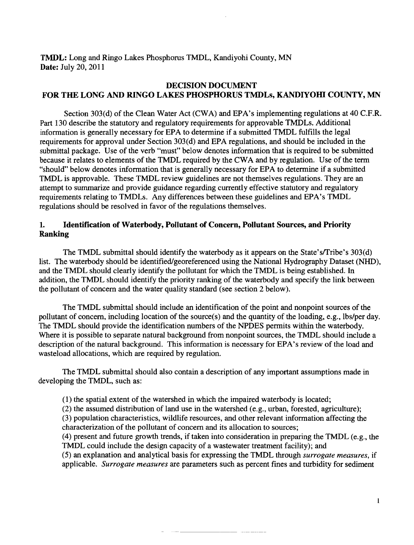TMDL: Long and Ringo Lakes Phosphorus TMDL, Kandiyohi County, MN Date: July 20, 2011

# DECISION DOCUMENT FOR THE LONG AND RINGO LAKES PHOSPHORUS TMDLs, KANDIYOHI COUNTY, MN

Section 303(d) of the Clean Water Act (CWA) and EPA's implementing regulations at 40 C.F.R. Part 130 describe the statutory and regulatory requirements for approvable TMDLs. Additional information is generally necessary for EPA to determine if a submitted TMDL fulfills the legal requirements for approval under Section 303(d) and EPA regulations, and should be included in the submittal package. Use of the verb "must" below denotes information that is required to be submitted because it relates to elements of the TMDL required by the CWA and by regulation. Use of the term "should" below denotes information that is generally necessary for EPA to determine if a submitted TMDL is approvable. These TMDL review guidelines are not themselves regulations. They are an attempt to summarize and provide guidance regarding currently effective statutory and regulatory requirements relating to TMDLs. Any differences between these guidelines and EPA's TMDL regulations should be resolved in favor of the regulations themselves.

# 1. Identification of Waterbody, Pollutant of Concern, Pollutant Sources, and Priority Ranking

The TMDL submittal should identify the waterbody as it appears on the State's/Tribe's 303(d) list. The waterbody should be identified/georeferenced using the National Hydrography Dataset (NHD), and the TMDL should clearly identify the pollutant for which the TMDL is being established. In addition, the TMDL should identify the priority ranking of the waterbody and specify the link between the pollutant of concern and the water quality standard (see section 2 below).

The TMDL submittal should include an identification of the point and nonpoint sources of the pollutant of concern, including location of the source(s) and the quantity of the loading, e.g., lbs/per day. The TMDL should provide the identification numbers of the NPDES permits within the waterbody. Where it is possible to separate natural background from nonpoint sources, the TMDL should include a description of the natural background. This information is necessary for EPA's review of the load and wasteload allocations, which are required by regulation.

The TMDL submittal should also contain a description of any important assumptions made in developing the TMDL, such as:

- (1) the spatial extent of the watershed in which the impaired waterbody is located;
- (2) the assumed distribution of land use in the watershed (e.g., urban, forested, agriculture);
- (3) population characteristics, wildlife resources, and other relevant information affecting the characterization of the pollutant of concern and its allocation to sources;
- (4) present and future growth trends, iftaken into consideration in preparing the TMDL (e.g., the TMDL could include the design capacity of a wastewater treatment facility); and

(5) an explanation and analytical basis for expressing the TMDL through *surrogate measures,* if applicable. *Surrogate measures* are parameters such as percent fines and turbidity for sediment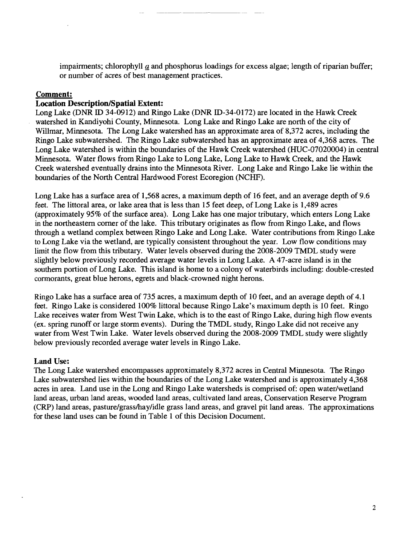impairments; chlorophyll  $a$  and phosphorus loadings for excess algae; length of riparian buffer; or number of acres of best management practices.

## **Comment:**

## **Location Description/Spatial Extent:**

Long Lake (DNR ID 34-0912) and Ringo Lake (DNR ID-34-0172) are located in the Hawk Creek watershed in Kandiyohi County, Minnesota. Long Lake and Ringo Lake are north of the city of Willmar, Minnesota. The Long Lake watershed has an approximate area of 8,372 acres, including the Ringo Lake subwatershed. The Ringo Lake subwatershed has an approximate area of 4,368 acres. The Long Lake watershed is within the boundaries of the Hawk Creek watershed (HUC-07020004) in central Minnesota. Water flows from Ringo Lake to Long Lake, Long Lake to Hawk Creek, and the Hawk Creek watershed eventually drains into the Minnesota River. Long Lake and Ringo Lake lie within the boundaries of the North Central Hardwood Forest Ecoregion (NCHF).

Long Lake has a surface area of 1,568 acres, a maximum depth of 16 feet, and an average depth of 9.6 feet. The littoral area, or lake area that is less than 15 feet deep, of Long Lake is 1,489 acres (approximately 95% of the surface area). Long Lake has one major tributary, which enters Long Lake in the northeastern comer of the lake. This tributary originates as flow from Ringo Lake, and flows through a wetland complex between Ringo Lake and Long Lake. Water contributions from Ringo Lake to Long Lake via the wetland, are typically consistent throughout the year. Low flow conditions may limit the flow from this tributary. Water levels observed during the 2008-2009 TMDL study were slightly below previously recorded average water levels in Long Lake. A 47-acre island is in the southern portion of Long Lake. This island is home to a colony of waterbirds including: double-crested cormorants, great blue herons, egrets and black-crowned night herons.

Ringo Lake has a surface area of 735 acres, a maximum depth of 10 feet, and an average depth of 4.1 feet. Ringo Lake is considered 100% littoral because Ringo Lake's maximum depth is 10 feet. Ringo Lake receives water from West Twin Lake, which is to the east of Ringo Lake, during high flow events (ex. spring runoff or large storm events). During the TMDL study, Ringo Lake did not receive any water from West Twin Lake. Water levels observed during the 2008-2009 TMDL study were slightly below previously recorded average water levels in Ringo Lake.

### **Land** Use:

The Long Lake watershed encompasses approximately 8,372 acres in Central Minnesota. The Ringo Lake subwatershed lies within the boundaries of the Long Lake watershed and is approximately 4,368 acres in area. Land use in the Long and Ringo Lake watersheds is comprised of: open water/wetland land areas, urban land areas, wooded land areas, cultivated land areas, Conservation Reserve Program (CRP) land areas, pasture/grass/hay/idle grass land areas, and gravel pit land areas. The approximations for these land uses can be found in Table 1 of this Decision Document.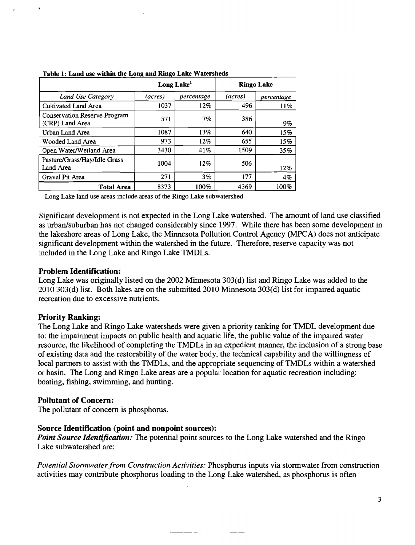|                                                 | Long Lake <sup>1</sup> |            | <b>Ringo Lake</b> |            |
|-------------------------------------------------|------------------------|------------|-------------------|------------|
| Land Use Category                               | (acres)                | percentage | (acres)           | percentage |
| Cultivated Land Area                            | 1037                   | 12%        | 496               | 11%        |
| Conservation Reserve Program<br>(CRP) Land Area | 571                    | $7\%$      | 386               | 9%         |
| Urban Land Area                                 | 1087                   | 13%        | 640               | 15%        |
| Wooded Land Area                                | 973                    | 12%        | 655               | 15%        |
| Open Water/Wetland Area                         | 3430                   | 41%        | 1509              | 35%        |
| Pasture/Grass/Hay/Idle Grass<br>Land Area       | 1004                   | 12%        | 506               | 12%        |
| Gravel Pit Area                                 | 271                    | $3\%$      | 177               | 4%         |
| <b>Total Area</b>                               | 8373                   | 100%       | 4369              | 100%       |

Table 1: Land use within the Long and Ringo Lake Watersheds

<sup>1</sup> Long Lake land use areas include areas of the Ringo Lake subwatershed

Significant development is not expected in the Long Lake watershed. The amount of land use classified as urban/suburban has not changed considerably since 1997. While there has been some development in the lakeshore areas of Long Lake, the Minnesota Pollution Control Agency (MPCA) does not anticipate significant development within the watershed in the future. Therefore, reserve capacity was not included in the Long Lake and Ringo Lake TMDLs.

### Problem Identification:

Long Lake was originally listed on the 2002 Minnesota 303(d) list and Ringo Lake was added to the 2010 303(d) list. Both lakes are on the submitted 2010 Minnesota 303(d) list for impaired aquatic recreation due to excessive nutrients.

### Priority Ranking:

The Long Lake and Ringo Lake watersheds were given a priority ranking for TMDL development due to: the impairment impacts on public health and aquatic life, the public value of the impaired water resource, the likelihood of completing the TMDLs in an expedient manner, the inclusion of a strong base of existing data and the restorability of the water body, the technical capability and the willingness of local partners to assist with the TMDLs, and the appropriate sequencing of TMDLs within a watershed or basin. The Long and Ringo Lake areas are a popular location for aquatic recreation including: boating, fishing, swimming, and hunting.

### Pollutant of Concern:

The pollutant of concern is phosphorus.

# Source Identification (point and nonpoint sources):

*Point Source Identification:* The potential point sources to the Long Lake watershed and the Ringo Lake subwatershed are:

Potential Stormwater from Construction Activities: Phosphorus inputs via stormwater from construction activities may contribute phosphorus loading to the Long Lake watershed, as phosphorus is often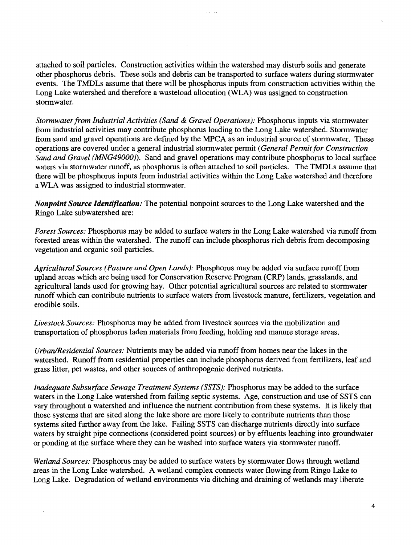attached to soil particles. Construction activities within the watershed may disturb soils and generate other phosphorus debris. These soils and debris can be transported to surface waters during stormwater events. The TMDLs assume that there will be phosphorus inputs from construction activities within the Long Lake watershed and therefore a wasteload allocation (WLA) was assigned to construction stormwater.

*Stonnwaterfrom Industrial Activities (Sand* & *Gravel Operations):* Phosphorus inputs via storrnwater from industrial activities may contribute phosphorus loading to the Long Lake watershed. Stormwater from sand and gravel operations are defined by the MPCA as an industrial source of stormwater. These operations are covered under a general industrial stormwater permit *(Gene ral Pennit for Construction Sand and Gravel (MNG49000).* Sand and gravel operations may contribute phosphorus to local surface waters via stormwater runoff, as phosphorus is often attached to soil particles. The TMDLs assume that there will be phosphorus inputs from industrial activities within the Long Lake watershed and therefore a WLA was assigned to industrial stormwater.

*Nonpoint Source Identification:* The potential nonpoint sources to the Long Lake watershed and the Ringo Lake subwatershed are:

*Forest Sources:* Phosphorus may be added to surface waters in the Long Lake watershed via runoff from forested areas within the watershed. The runoff can include phosphorus rich debris from decomposing vegetation and organic soil particles.

*Agricultural Sources (Pasture and Open Lands):* Phosphorus may be added via surface runoff from upland areas which are being used for Conservation Reserve Program (CRP) lands, grasslands, and agricultural lands used for growing hay. Other potential agricultural sources are related to stormwater runoff which can contribute nutrients to surface waters from livestock manure, fertilizers, vegetation and erodible soils.

*Livestock Sources:* Phosphorus may be added from livestock sources via the mobilization and transportation of phosphorus laden materials from feeding, holding and manure storage areas.

*Urban/Residential Sources:* Nutrients may be added via runoff from homes near the lakes in the watershed. Runoff from residential properties can include phosphorus derived from fertilizers, leaf and grass litter, pet wastes, and other sources of anthropogenic derived nutrients.

*Inadequate Subsurface Sewage Treatment Systems (SSTS):* Phosphorus may be added to the surface waters in the Long Lake watershed from failing septic systems. Age, construction and use of SSTS can vary throughout a watershed and influence the nutrient contribution from these systems. It is likely that those systems that are sited along the lake shore are more likely to contribute nutrients than those systems sited further away from the lake. Failing SSTS can discharge nutrients directly into surface waters by straight pipe connections (considered point sources) or by effluents leaching into groundwater or ponding at the surface where they can be washed into surface waters yia stormwater runoff.

*Wetland Sources:* Phosphorus may be added to surface waters by stormwater flows through wetland areas in the Long Lake watershed. A wetland complex connects water flowing from Ringo Lake to Long Lake. Degradation of wetland environments via ditching and draining of wetlands may liberate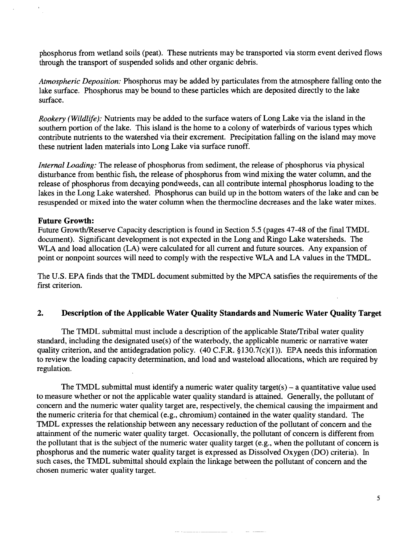phosphorus from wetland soils (peat). These nutrients may be transported via storm event derived flows through the transport of suspended solids and other organic debris.

*Atmospheric Deposition:* Phosphorus may be added by particulates from the atmosphere falling onto the lake surface. Phosphorus may be bound to these particles which are deposited directly to the lake surface.

*Rookery (Wildlife):* Nutrients may be added to the surface waters of Long Lake via the island in the southern portion of the lake. This island is the home to a colony of waterbirds of various types which contribute nutrients to the watershed via their excrement. Precipitation falling on the island may move these nutrient laden materials into Long Lake via surface runoff.

*Internal Loading:* The release of phosphorus from sediment, the release of phosphorus via physical disturbance from benthic fish, the release of phosphorus from wind mixing the water column, and the release of phosphorus from decaying pondweeds, can all contribute internal phosphorus loading to the lakes in the Long Lake watershed. Phosphorus can build up in the bottom waters of the lake and can be resuspended or mixed into the water column when the thermocline decreases and the lake water mixes.

### **Future Growth:**

Future Growth/Reserve Capacity description is found in Section 5.5 (pages 47-48 of the final TMDL document). Significant development is not expected in the Long and Ringo Lake watersheds. The WLA and load allocation (LA) were calculated for all current and future sources. Any expansion of point or nonpoint sources will need to comply with the respective WLA and LA values in the TMDL.

The U.S. EPA finds that the TMDL document submitted by the MPCA satisfies the requirements of the first criterion.

# **2. Description of the Applicable Water Quality Standards and Numeric Water Quality Target**

The TMDL submittal must include a description of the applicable State/Tribal water quality standard, including the designated use(s) of the waterbody, the applicable numeric or narrative water quality criterion, and the antidegradation policy. (40 C.F.R.  $$130.7(c)(1)$ ). EPA needs this information to review the loading capacity determination, and load and wasteload allocations, which are required by regulation.

The TMDL submittal must identify a numeric water quality target(s)  $-$  a quantitative value used to measure whether or not the applicable water quality standard is attained. Generally, the pollutant of concern and the numeric water quality target are, respectively, the chemical causing the impairment and the numeric criteria for that chemical (e.g., chromium) contained in the water quality standard. The TMDL expresses the relationship between any necessary reduction of the pollutant of concern and the attainment of the numeric water quality target. Occasionally, the pollutant of concern is different from the pollutant that is the subject of the numeric water quality target (e.g., when the pollutant of concern is phosphorus and the numeric water quality target is expressed as Dissolved Oxygen (DO) criteria). In such cases, the TMDL submittal should explain the linkage between the pollutant of concern and the chosen numeric water quality target.

<u>and</u> and

5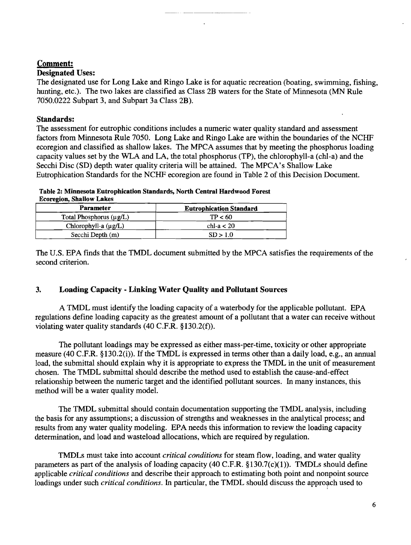# Comment:

# Designated Uses:

The designated use for Long Lake and Ringo Lake is for aquatic recreation (boating, swimming, fishing, hunting, etc.). The two lakes are classified as Class 2B waters for the State of Minnesota (MN Rule 7050.0222 Subpart 3, and Subpart 3a Class 2B).

## Standards:

The assessment for eutrophic conditions includes a numeric water quality standard and assessment factors from Minnesota Rule 7050. Long Lake and Ringo Lake are within the boundaries of the NCHF ecoregion and classified as shallow lakes. The MPCA assumes that by meeting the phosphorus loading capacity values set by the WLA and LA, the total phosphorus (TP), the chlorophyll-a (chI-a) and the Secchi Disc (SD) depth water quality criteria will be attained. The MPCA's Shallow Lake Eutrophication Standards for the NCHF ecoregion are found in Table 2 of this Decision Document.

| Table 2: Minnesota Eutrophication Standards, North Central Hardwood Forest |  |  |
|----------------------------------------------------------------------------|--|--|
| <b>Ecoregion, Shallow Lakes</b>                                            |  |  |

| <b>Parameter</b>             | <b>Eutrophication Standard</b> |  |  |
|------------------------------|--------------------------------|--|--|
| Total Phosphorus $(\mu g/L)$ | TP < 60                        |  |  |
| Chlorophyll-a (µg/L)         | chl-a $<$ 20                   |  |  |
| Secchi Depth (m)             | SD > 1.0                       |  |  |

The U.S. EPA finds that the TMDL document submitted by the MPCA satisfies the requirements of the second criterion.

# 3. Loading Capacity· Linking Water Quality and Pollutant Sources

A TMDL must identify the loading capacity of a waterbody for the applicable pollutant. EPA regulations define loading capacity as the greatest amount of a pollutant that a water can receive without violating water quality standards (40 c.F.R. §130.2(f).

The pollutant loadings may be expressed as either mass-per-time, toxicity or other appropriate measure (40 C.F.R. §130.2(i)). If the TMDL is expressed in terms other than a daily load, e.g., an annual load, the submittal should explain why it is appropriate to express the TMDL in the unit of measurement chosen. The TMDL submittal should describe the method used to establish the cause-and-effect relationship between the numeric target and the identified pollutant sources. In many instances, this method will be a water quality model.

The TMDL submittal should contain documentation supporting the TMDL analysis, including the basis for any assumptions; a discussion of strengths and weaknesses in the analytical process; and results from any water quality modeling. EPA needs this information to review the loading capacity determination, and load and wasteload allocations, which are required by regulation.

TMDLs must take into account *critical conditions* for steam flow, loading, and water quality parameters as part of the analysis of loading capacity (40 C.F.R.  $\S 130.7(c)(1)$ ). TMDLs should define applicable *critical conditions* and describe their approach to estimating both point and nonpoint source loadings under such *critical conditions*. In particular, the TMDL should discuss the approach used to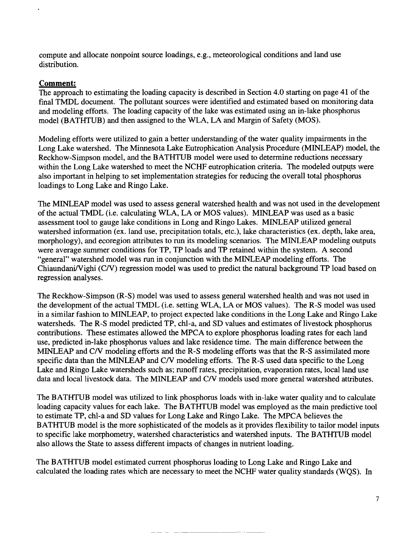compute and allocate nonpoint source loadings, e.g., meteorological conditions and land use distribution.

# **Comment:**

The approach to estimating the loading capacity is described in Section 4.0 starting on page 41 of the final TMDL document. The pollutant sources were identified and estimated based on monitoring data and modeling efforts. The loading capacity of the lake was estimated using an in-lake phosphorus model (BATHTUB) and then assigned to the WLA, LA and Margin of Safety (MOS).

Modeling efforts were utilized to gain a better understanding of the water quality impairments in the Long Lake watershed. The Minnesota Lake Eutrophication Analysis Procedure (MINLEAP) model, the Reckhow-Simpson model, and the BATHTUB model were used to determine reductions necessary within the Long Lake watershed to meet the NCHF eutrophication criteria. The modeled outputs were also important in helping to set implementation strategies for reducing the overall total phosphorus loadings to Long Lake and Ringo Lake.

The MINLEAP model was used to assess general watershed health and was not used in the development of the actual TMDL (i.e. calculating WLA, LA or MOS values). MINLEAP was used as a basic assessment tool to gauge lake conditions in Long and Ringo Lakes. MINLEAP utilized general watershed information (ex. land use, precipitation totals, etc.), lake characteristics (ex. depth, lake area, morphology), and ecoregion attributes to run its modeling scenarios. The MINLEAP modeling outputs were average summer conditions for TP, TP loads and TP retained within the system. A second "general" watershed model was run in conjunction with the MINLEAP modeling efforts. The Chiaundani/Vighi *(C/V)* regression model was used to predict the natural background TP load based on regression analyses.

The Reckhow-Simpson (R-S) model was used to assess general watershed health and was not used in the development of the actual TMDL (i.e. setting WLA, LA or MOS values). The R-S model was used in a similar fashion to MINLEAP, to project expected lake conditions in the Long Lake and Ringo Lake watersheds. The R-S model predicted TP, chI-a, and SD values and estimates of livestock phosphorus contributions. These estimates allowed the MPCA to explore phosphorus loading rates for each land use, predicted in-lake phosphorus values and lake residence time. The main difference between the MINLEAP and *CN* modeling efforts and the R-S modeling efforts was that the R-S assimilated more specific data than the MINLEAP and *CN* modeling efforts. The R-S used data specific to the Long Lake and Ringo Lake watersheds such as; runoff rates, precipitation, evaporation rates, local land use data and local livestock data. The MINLEAP and C/V models used more general watershed attributes.

The BATHTUB model was utilized to link phosphorus loads with in-lake water quality and to calculate loading capacity values for each lake. The BATHTUB model was employed as the main predictive tool to estimate TP, chl-a and SD values for Long Lake and Ringo Lake. The MPCA believes the BATHTUB model is the more sophisticated of the models as it provides flexibility to tailor model inputs to specific lake morphometry, watershed characteristics and watershed inputs. The BATHTUB model also allows the State to assess different impacts of changes in nutrient loading.

The BATHTUB model estimated current phosphorus loading to Long Lake and Ringo Lake and calculated the loading rates which are necessary to meet the NCHF water quality standards (WQS). In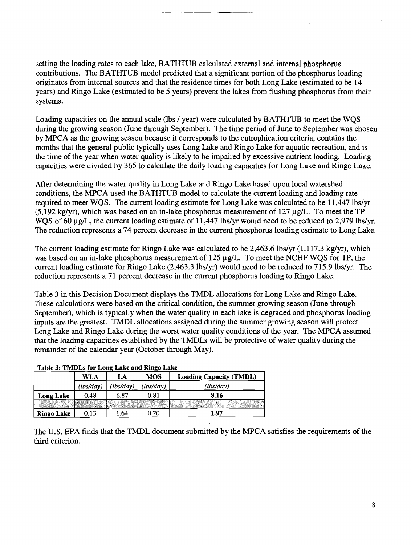setting the loading rates to each lake, BATHTUB calculated extemal and intemal phosphorus contributions. The BATHTUB model predicted that a significant portion of the phosphorus loading originates from internal sources and that the residence times for both Long Lake (estimated to be 14 years) and Ringo Lake (estimated to be 5 years) prevent the lakes from flushing phosphorus from their systems.

Loading capacities on the annual scale (lbs / year) were calculated by BATHTUB to meet the WQS during the growing season (June through September). The time period of June to September was chosen by MPCA as the growing season because it corresponds to the eutrophication criteria, contains the months that the general public typically uses Long Lake and Ringo Lake for aquatic recreation, and is the time of the year when water quality is likely to be impaired by excessive nutrient loading. Loading capacities were divided by 365 to calculate the daily loading capacities for Long Lake and Ringo Lake.

After determining the water quality in Long Lake and Ringo Lake based upon local watershed conditions, the MPCA used the BATHTUB model to calculate the current loading and loading rate required to meet WQS. The current loading estimate for Long Lake was calculated to be 11,447 lbs/yr (5,192 kg/yr), which was based on an in-lake phosphorus measurement of  $127 \mu g/L$ . To meet the TP WOS of 60 µg/L, the current loading estimate of 11,447 lbs/yr would need to be reduced to 2,979 lbs/yr. The reduction represents a 74 percent decrease in the current phosphorus loading estimate to Long Lake.

The current loading estimate for Ringo Lake was calculated to be 2,463.6 lbs/yr (1,117.3 kg/yr), which was based on an in-lake phosphorus measurement of  $125 \mu g/L$ . To meet the NCHF WOS for TP, the current loading estimate for Ringo Lake  $(2,463.3 \text{ lbs/yr})$  would need to be reduced to 715.9 lbs/yr. The reduction represents a 71 percent decrease in the current phosphorus loading to Ringo Lake.

Table 3 in this Decision Document displays the TMDL allocations for Long Lake and Ringo Lake. These calculations were based on the critical condition, the summer growing season (June through September), which is typically when the water quality in each lake is degraded and phosphorus loading inputs are the greatest. TMDL allocations assigned during the summer growing season will protect Long Lake and Ringo Lake during the worst water quality conditions of the year. The MPCA assumed that the loading capacities established by the TMDLs will be protective of water quality during the remainder of the calendar year (October through May).

| THOIG 3: TMIDES for Long Lake and Kingo Lake |           |           |            |                                |  |
|----------------------------------------------|-----------|-----------|------------|--------------------------------|--|
|                                              | WLA<br>LA |           | <b>MOS</b> | <b>Loading Capacity (TMDL)</b> |  |
|                                              | (lbs/day) | (lbs/day) | (lbs/day)  | (lbs/day)                      |  |
| <b>Long Lake</b>                             | 0.48      | 6.87      | 0.81       | 8.16                           |  |
|                                              |           |           |            |                                |  |
| <b>Ringo Lake</b>                            | 0.13      | 1.64      | 0.20       | 1.97                           |  |

# Table 2. TMDI a fan I ang I aka and Dinga I aka

The U.S. EPA finds that the TMDL document submitted by the MPCA satisfies the requirements of the third criterion.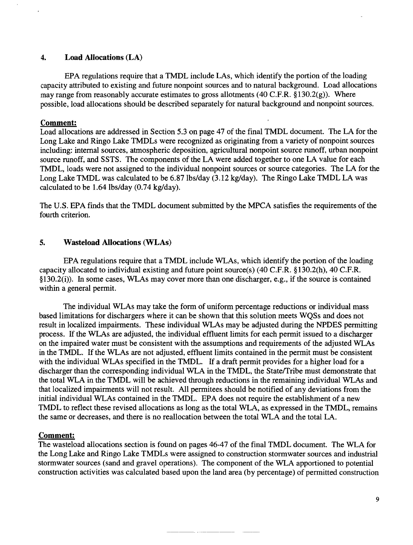## 4. Load Allocations (LA)

EPA regulations require that a TMDL include LAs, which identify the portion of the loading capacity attributed to existing and future nonpoint sources and to natural background. Load allocations may range from reasonably accurate estimates to gross allotments (40 C.P.R. §130.2(g)). Where possible, load allocations should be described separately for natural background and nonpoint sources.

## Comment:

Load allocations are addressed in Section 5.3 on page 47 of the final TMDL document. The LA for the Long Lake and Ringo Lake TMDLs were recognized as originating from a variety of nonpoint sources including: internal sources, atmospheric deposition, agricultural nonpoint source runoff, urban nonpoint source runoff, and SSTS. The components of the LA were added together to one LA value for each TMDL, loads were not assigned to the individual nonpoint sources or source categories. The LA for the Long Lake TMDL was calculated to be 6.87 lbs/day (3.12 kg/day). The Ringo Lake TMDL LA was calculated to be 1.64 lbs/day (0.74 kg/day).

The U.S. EPA finds that the TMDL document submitted by the MPCA satisfies the requirements of the fourth criterion.

## 5. Wasteload Allocations (WLAs)

EPA regulations require that a TMDL include WLAs, which identify the portion of the loading capacity allocated to individual existing and future point source(s) (40 C.F.R. §130.2(h), 40 c.P.R. §130.2(i)). In some cases, WLAs may cover more than one discharger, e.g., if the source is contained within a general permit.

The individual WLAs may take the form of uniform percentage reductions or individual mass based limitations for dischargers where it can be shown that this solution meets WQSs and does not result in localized impairments. These individual WLAs may be adjusted during the NPDES permitting process. Ifthe WLAs are adjusted, the individual effluent limits for each permit issued to a discharger on the impaired water must be consistent with the assumptions and requirements of the adjusted WLAs in the TMDL. If the WLAs are not adjusted, effluent limits contained in the permit must be consistent with the individual WLAs specified in the TMDL. If a draft permit provides for a higher load for a discharger than the corresponding individual WLA in the TMDL, the State/Tribe must demonstrate that the total WLA in the TMDL will be achieved through reductions in the remaining individual WLAs and that localized impairments will not result. All permitees should be notified of any deviations from the initial individual WLAs contained in the TMDL. EPA does not require the establishment of a new TMDL to reflect these revised allocations as long as the total WLA, as expressed in the TMDL, remains the same or decreases, and there is no reallocation between the total WLA and the total LA.

### Comment:

The wasteload allocations section is found on pages 46-47 of the final TMDL document. The WLA for the Long Lake and Ringo Lake TMDLs were assigned to construction stormwater sources and industrial stormwater sources (sand and gravel operations). The component of the WLA apportioned to potential construction activities was calculated based upon the land area (by percentage) of permitted construction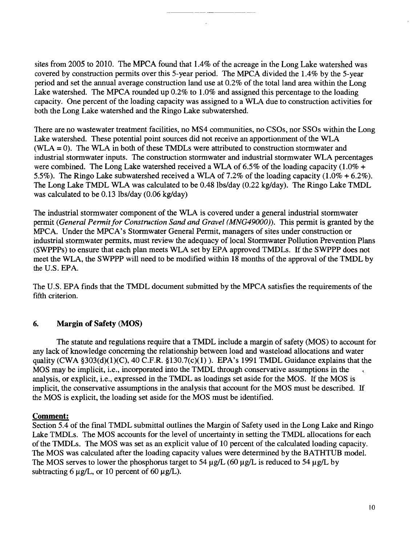sites from 2005 to 2010. The MPCA found that 1.4% of the acreage in the Long Lake watershed was covered by construction permits over this 5-year period. The MPCA divided the 1.4% by the 5-year period and set the annual average construction land use at 0.2% of the total land area within the Long Lake watershed. The MPCA rounded up 0.2% to 1.0% and assigned this percentage to the loading capacity. One percent of the loading capacity was assigned to a WLA due to construction activities for both the Long Lake watershed and the Ringo Lake subwatershed.

There are no wastewater treatment facilities, no MS4 communities, no CSOs, nor SSOs within the Long Lake watershed. These potential point sources did not receive an apportionment of the WLA (WLA =0). The WLA in both of these TMDLs were attributed to construction stormwater and industrial stormwater inputs. The construction stormwater and industrial stormwater WLA percentages were combined. The Long Lake watershed received a WLA of 6.5% of the loading capacity (1.0% + 5.5%). The Ringo Lake subwatershed received a WLA of 7.2% of the loading capacity (1.0% + 6.2%). The Long Lake TMDL WLA was calculated to be 0.48 lbs/day (0.22 kg/day). The Ringo Lake TMDL was calculated to be 0.13 lbs/day (0.06 kg/day)

The industrial stormwater component of the WLA is covered under a general industrial stormwater permit *(General Permit for Construction Sand and Gravel (MNG49000)*). This permit is granted by the MPCA. Under the MPCA's Stormwater General Permit, managers of sites under construction or industrial stormwater permits, must review the adequacy of local Stormwater Pollution Prevention Plans (SWPPPs) to ensure that each plan meets WLA set by EPA approved TMDLs. If the SWPPP does not meet the WLA, the SWPPP will need to be modified within 18 months of the approval of the TMDL by the U.S. EPA.

The U.S. EPA finds that the TMDL document submitted by the MPCA satisfies the requirements of the fifth criterion.

# 6. Margin of Safety (MOS)

The statute and regulations require that a TMDL include a margin of safety (MOS) to account for any lack of knowledge concerning the relationship between load and wasteload allocations and water quality (CWA  $$303(d)(1)(C)$ , 40 C.F.R.  $$130.7(c)(1)$ ). EPA's 1991 TMDL Guidance explains that the MOS may be implicit, i.e., incorporated into the TMDL through conservative assumptions in the analysis, or explicit, i.e., expressed in the TMDL as loadings set aside for the MOS. If the MOS is implicit, the conservative assumptions in the analysis that account for the MOS must be described. If the MOS is explicit, the loading set aside for the MOS must be identified.

### Comment:

Section 5.4 of the final TMDL submittal outlines the Margin of Safety used in the Long Lake and Ringo Lake TMDLs. The MOS accounts for the level of uncertainty in setting the TMDL allocations for each ofthe TMDLs. The MOS was set as an explicit value of 10 percent of the calculated loading capacity. The MOS was calculated after the loading capacity values were determined by the BATHTUB model. The MOS serves to lower the phosphorus target to 54  $\mu$ g/L (60  $\mu$ g/L is reduced to 54  $\mu$ g/L by subtracting 6  $\mu$ g/L, or 10 percent of 60  $\mu$ g/L).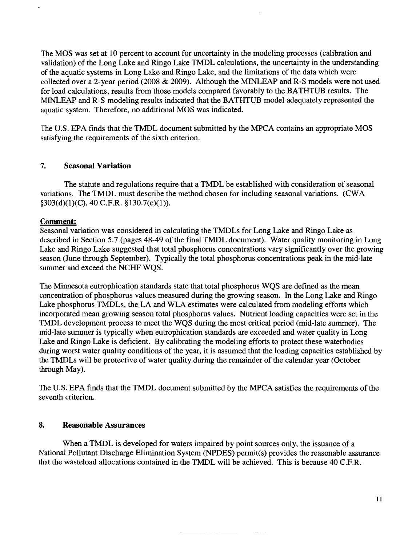The MOS was set at 10 percent to account for uncertainty in the modeling processes (calibration and validation) of the Long Lake and Ringo Lake TMDL calculations, the uncertainty in the understanding of the aquatic systems in Long Lake and Ringo Lake, and the limitations of the data which were collected over a 2-year period (2008 & 2009). Although the MINLEAP and R-S models were not used for load calculations, results from those models compared favorably to the BATHTUB results. The MINLEAP and R-S modeling results indicated that the BATHTUB model adequately represented the aquatic system. Therefore, no additional MOS was indicated.

The U.S. EPA finds that the TMDL document submitted by the MPCA contains an appropriate MOS satisfying the requirements of the sixth criterion.

# 7. Seasonal Variation

The statute and regulations require that a TMDL be established with consideration of seasonal variations. The TMDL must describe the method chosen for including seasonal variations. (CWA  $§303(d)(1)(C)$ , 40 C.F.R.  $§130.7(c)(1)$ .

# Comment:

Seasonal variation was considered in calculating the TMDLs for Long Lake and Ringo Lake as described in Section 5.7 (pages 48-49 of the final TMDL document). Water quality monitoring in Long Lake and Ringo Lake suggested that total phosphorus concentrations vary significantly over the growing season (June through September). Typically the total phosphorus concentrations peak in the mid-late summer and exceed the NCHF WQS.

The Minnesota eutrophication standards state that total phosphorus WQS are defined as the mean concentration of phosphorus values measured during the growing season. In the Long Lake and Ringo Lake phosphorus TMDLs, the LA and WLA estimates were calculated from modeling efforts which incorporated mean growing season total phosphorus values. Nutrient loading capacities were set in the TMDL development process to meet the WQS during the most critical period (mid-late summer). The mid-late summer is typically when eutrophication standards are exceeded and water quality in Long Lake and Ringo Lake is deficient. By calibrating the modeling efforts to protect these waterbodies during worst water quality conditions of the year, it is assumed that the loading capacities established by the TMDLs will be protective of water quality during the remainder of the calendar year (October through May).

The U.S. EPA finds that the TMDL document submitted by the MPCA satisfies the requirements of the seventh criterion.

# 8. Reasonable Assurances

When a TMDL is developed for waters impaired by point sources only, the issuance of a National Pollutant Discharge Elimination System (NPDES) permit(s) provides the reasonable assurance that the wasteload allocations contained in the TMDL will be achieved. This is because 40 C.F.R.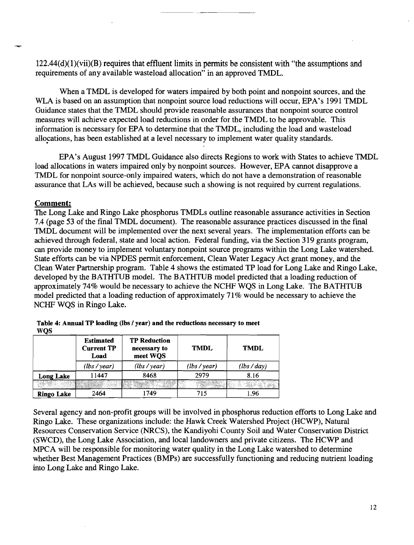$122.44(d)(1)(vi)(B)$  requires that effluent limits in permits be consistent with "the assumptions and requirements of any available wasteload allocation" in an approved TMDL.

When a TMDL is developed for waters impaired by both point and nonpoint sources, and the WLA is based on an assumption that nonpoint source load reductions will occur, EPA's 1991 TMDL Guidance states that the TMDL should provide reasonable assurances that nonpoint source control measures will achieve expected load reductions in order for the TMDL to be approvable. This information is necessary for EPA to determine that the TMDL, including the load and wasteload allocations, has been established at a level necessary to implement water quality standards.

EPA's August 1997 TMDL Guidance also directs Regions to work with States to achieve TMDL load allocations in waters impaired only by nonpoint sources. However, EPA cannot disapprove a TMDL for nonpoint source-only impaired waters, which do not have a demonstration of reasonable assurance that LAs will be achieved, because such a showing is not required by current regulations.

### Comment:

The Long Lake and Ringo Lake phosphorus TMDLs outline reasonable assurance activities in Section 7.4 (page 53 of the final TMDL document). The reasonable assurance practices discussed in the final lMDL document will be implemented over the next several years. The implementation efforts can be achieved through federal, state and local action. Federal funding, via the Section 319 grants program, can provide money to implement voluntary nonpoint source programs within the Long Lake watershed. State efforts can be via NPDES permit enforcement, Clean Water Legacy Act grant money, and the Clean Water Partnership program. Table 4 shows the estimated TP load for Long Lake and Ringo Lake, developed by the BATHTUB model. The BATHTUB model predicted that a loading reduction of approximately 74% would be necessary to achieve the NCHF WQS in Long Lake. The BATHTUB model predicted that a loading reduction of approximately 71% would be necessary to achieve the NCHF WQS in Ringo Lake.

|                   | <b>Estimated</b><br><b>Current TP</b><br>Load | <b>TP Reduction</b><br>necessary to<br>meet WQS | <b>TMDL</b> | <b>TMDL</b> |
|-------------------|-----------------------------------------------|-------------------------------------------------|-------------|-------------|
|                   | (lbs/year)                                    | (lbs/year)                                      | (lbs/year)  | (lbs/day)   |
| <b>Long Lake</b>  | 11447                                         | 8468                                            | 2979        | 8.16        |
|                   |                                               |                                                 |             |             |
| <b>Ringo Lake</b> | 2464                                          | 1749                                            | 715         | 1.96        |

Table 4: Annual TP loading (lbs / year) and the reductions necessary to meet W<sub>OS</sub>

Several agency and non-profit groups will be involved in phosphorus reduction efforts to Long Lake and Ringo Lake. These organizations include: the Hawk Creek Watershed Project (HCWP), Natural Resources Conservation Service (NRCS), the Kandiyohi County Soil and Water Conservation District (SWCD), the Long Lake Association, and local landowners and private citizens. The HCWP and MPCA will be responsible for monitoring water quality in the Long Lake watershed to determine whether Best Management Practices (BMPs) are successfully functioning and reducing nutrient loading into Long Lake and Ringo Lake.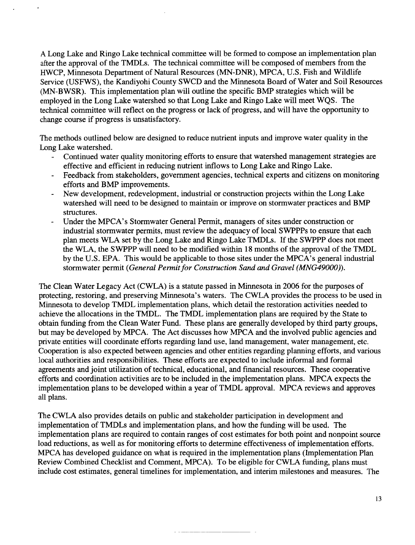A Long Lake and Ringo Lake technical committee will be formed to compose an implementation plan after the approval of the TMDLs. The technical committee will be composed of members from the HWCP, Minnesota Department of Natural Resources (MN-DNR), MPCA, U.S. Fish and Wildlife Service (USFWS), the Kandiyohi County SWCD and the Minnesota Board of Water and Soil Resources (MN-BWSR). This implementation plan will outline the specific BMP strategies which will be employed in the Long Lake watershed so that Long Lake and Ringo Lake will meet WQS. The technical committee will reflect on the progress or lack of progress, and will have the opportunity to change course if progress is unsatisfactory.

The methods outlined below are designed to reduce nutrient inputs and improve water quality in the Long Lake watershed.

- Continued water quality monitoring efforts to ensure that watershed management strategies are  $\mathbf{L}^{\text{max}}$ effective and efficient in reducing nutrient inflows to Long Lake and Ringo Lake.
- Feedback from stakeholders, government agencies, technical experts and citizens on monitoring  $\frac{1}{2}$ efforts and BMP improvements.
- New development, redevelopment, industrial or construction projects within the Long Lake  $\overline{\phantom{a}}$ watershed will need to be designed to maintain or improve on stormwater practices and BMP structures.
- Under the MPCA's Stormwater General Permit, managers of sites under construction or industrial stormwater permits, must review the adequacy of local SWPPPs to ensure that each plan meets WLA set by the Long Lake and Ringo Lake TMDLs. If the SWPPP does not meet the WLA, the SWPPP will need to be modified within 18 months of the approval of the TMDL by the U.S. EPA. This would be applicable to those sites under the MPCA's general industrial stormwater permit *(General Permit for Construction Sand and Gravel (MNG49000))*.

The Clean Water Legacy Act (CWLA) is a statute passed in Minnesota in 2006 for the purposes of protecting, restoring, and preserving Minnesota's waters. The CWLA provides the process to be used in Minnesota to develop TMDL implementation plans, which detail the restoration activities needed to achieve the allocations in the TMDL. The TMDL implementation plans are required by the State to obtain funding from the Clean Water Fund. These plans are generally developed by third party groups, but may be developed by MPCA. The Act discusses how MPCA and the involved public agencies and private entities will coordinate efforts regarding land use, land management, water management, etc. Cooperation is also expected between agencies and other entities regarding planning efforts, and various local authorities and responsibilities. These efforts are expected to include informal and formal agreements and joint utilization of technical, educational, and financial resources. These cooperative efforts and coordination activities are to be included in the implementation plans. MPCA expects the implementation plans to be developed within a year of TMDL approval. MPCA reviews and approves all plans.

The CWLA also provides details on public and stakeholder participation in development and implementation of TMDLs and implementation plans, and how the funding will be used. The implementation plans are required to contain ranges of cost estimates for both point and nonpoint source load reductions, as well as for monitoring efforts to determine effectiveness of implementation efforts. MPCA has developed guidance on what is required in the implementation plans (Implementation Plan Review Combined Checklist and Comment, MPCA). To be eligible for CWLA funding, plans must include cost estimates, general timelines for implementation, and interim milestones and measures. The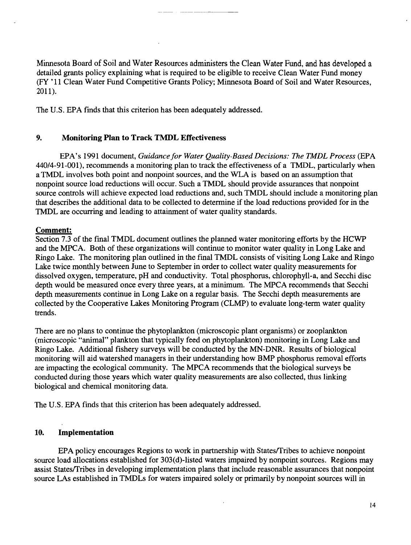Minnesota Board of Soil and Water Resources administers the Clean Water Fund, and has developed a detailed grants policy explaining what is required to be eligible to receive Clean Water Fund money (FY '11 Clean Water Fund Competitive Grants Policy; Minnesota Board of Soil and Water Resources, 2011).

The U.S. EPA finds that this criterion has been adequately addressed.

## 9. Monitoring Plan to Track TMDL Effectiveness

EPA's 1991 document, *Guidance for Water Quality-Based Decisions: The TMDL Process* (EPA 440/4-91-001), recommends a monitoring plan to track the effectiveness of a TMDL, particularly when a TMDL involves both point and nonpoint sources, and the WLA is based on an assumption that nonpoint source load reductions will occur. Such a TMDL should provide assurances that nonpoint source controls will achieve expected load reductions and, such TMDL should include a monitoring plan that describes the additional data to be collected to determine if the load reductions provided for in the TMDL are occurring and leading to attainment of water quality standards.

## Comment:

Section 7.3 of the final TMDL document outlines the planned water monitoring efforts by the HCWP and the MPCA. Both of these organizations will continue to monitor water quality in Long Lake and Ringo Lake. The monitoring plan outlined in the final TMDL consists of visiting Long Lake and Ringo Lake twice monthly between June to September in order to collect water quality measurements for dissolved oxygen, temperature, pH and conductivity. Total phosphorus, chlorophyll-a, and Secchi disc depth would be measured once every three years, at a minimum. The MPCA recommends that Secchi depth measurements continue in Long Lake on a regular basis. The Secchi depth measurements are collected by the Cooperative Lakes Monitoring Program (CLMP) to evaluate long-term water quality trends.

There are no plans to continue the phytoplankton (microscopic plant organisms) or zooplankton (microscopic "animal" plankton that typically feed on phytoplankton) monitoring in Long Lake and Ringo Lake. Additional fishery surveys will be conducted by the MN-DNR. Results of biological monitoring will aid watershed managers in their understanding how BMP phosphorus removal efforts are impacting the ecological community. The MPCA recommends that the biological surveys be conducted during those years which water quality measurements are also collected, thus linking biological and chemical monitoring data.

The U.S. EPA finds that this criterion has been adequately addressed.

# 10. Implementation

EPA policy encourages Regions to work in partnership with States/Tribes to achieve nonpoint source load allocations established for 303(d)-listed waters impaired by nonpoint sources. Regions may assist States/Tribes in developing implementation plans that include reasonable assurances that nonpoint source LAs established in TNIDLs for waters impaired solely or primarily by nonpoint sources will in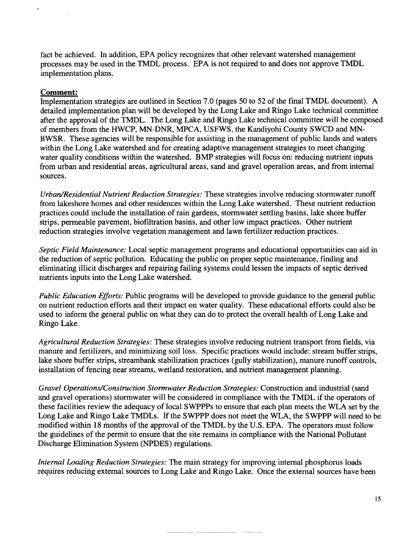fact be achieved. In addition, EPA policy recognizes that other relevant watershed management processes may be used in the TMDL process. EPA is not required to and does not approve TMDL implementation plans.

## **Comment:**

Implementation strategies are outlined in Section 7.0 (pages 50 to 52 of the final TMDL document). A detailed implementation plan will be developed by the Long Lake and Ringo Lake technical committee after the approval of the TMDL. The Long Lake and Ringo Lake technical committee will be composed of members from the HWCP, MN-DNR, MPCA, USFWS, the Kandiyohi County SWCD and MN-BWSR. These agencies will be responsible for assisting in the management of public lands and waters within the Long Lake watershed and for creating adaptive management strategies to meet changing water quality conditions within the watershed. BMP strategies will focus on: reducing nutrient inputs from urban and residential areas, agricultural areas, sand and gravel operation areas, and from internal sources.

*Urban/Residential Nutrient Reduction Strategies:* These strategies involve reducing stormwater runoff from lakeshore homes and other residences within the Long Lake watershed. These nutrient reduction practices could include the installation of rain gardens, stormwater settling basins, lake shore buffer strips, permeable pavement, biofiltration basins, and other low impact practices. Other nutrient reduction strategies involve vegetation management and lawn fertilizer reduction practices.

*Septic Field Maintenance:* Local septic management programs and educational opportunities can aid in the reduction of septic pollution. Educating the public on proper septic maintenance, finding and eliminating illicit discharges and repairing failing systems could lessen the impacts of septic derived nutrients inputs into the Long Lake watershed.

*Public Education Efforts:* Public programs will be developed to provide guidance to the general public on nutrient reduction efforts and their impact on water quality. These educational efforts could also be used to inform the general public on what they can do to protect the overall health of Long Lake and Ringo Lake.

*Agricultural Reduction Strategies:* These strategies involve reducing nutrient transport from fields, via manure and fertilizers, and minimizing soil loss. Specific practices would include: stream buffer strips, lake shore buffer strips, streambank stabilization practices (gully stabilization), manure runoff controls, installation of fencing near streams, wetland restoration, and nutrient management planning.

*Gravel Operations/Construction Stormwater Reduction Strategies:* Construction and industrial (sand and gravel operations) stormwater will be considered in compliance with the TMDL if the operators of these facilities review the adequacy of local SWPPPs to ensure that each plan meets the WLA set by the Long Lake and Ringo Lake TMDLs. If the SWPPP does not meet the WLA, the SWPPP will need to be modified within 18 months of the approval of the TMDL by the U.S. EPA. The operators must follow the guidelines of the permit to ensure that the site remains in compliance with the National Pollutant Discharge Elimination System (NPDES) regulations.

*Internal Loading Reduction Strategies:* The main strategy for improving internal phosphorus loads requires reducing external sources to Long Lake and Ringo Lake. Once the external sources have been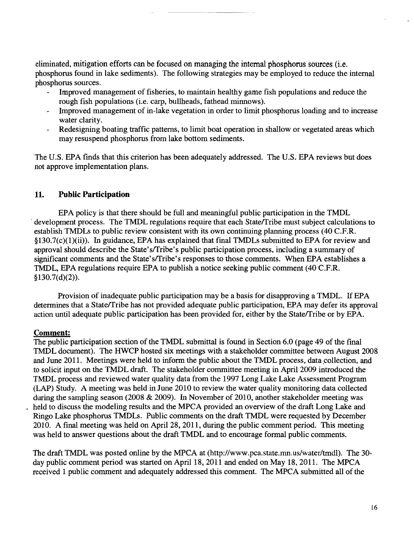eliminated, mitigation efforts can be focused on managing the internal phosphorus sources (i.e. phosphorus found in lake sediments). The following strategies may be employed to reduce the internal phosphorus sources.

- Improved management of fisheries, to maintain healthy game fish populations and reduce the rough fish populations (i.e. carp, bullheads, fathead minnows).
- Improved management of in-lake vegetation in order to limit phosphorus loading and to increase  $\overline{\phantom{a}}$ water clarity.
- Redesigning boating traffic patterns, to limit boat operation in shallow or vegetated areas which may resuspend phosphorus from lake bottom sediments.

The U.S. EPA finds that this criterion has been adequately addressed. The U.S. EPA reviews but does not approve implementation plans.

# 11. **Public Participation**

EPA policy is that there should be full and meaningful public participation in the TMDL development process. The TMDL regulations require that each State/Tribe must subject calculations to establish TMDLs to public review consistent with its own continuing planning process (40 c.F.R. §130.7(c)(1)(ii)). In guidance, EPA has explained that final TMDLs submitted to EPA for review and approval should describe the State's/Tribe's public participation process, including a summary of significant comments and the State's/Tribe's responses to those comments. When EPA establishes a TMDL, EPA regulations require EPA to publish a notice seeking public comment (40 C.F.R.  $§130.7(d)(2)).$ 

Provision of inadequate public participation may be a basis for disapproving a TMDL. If EPA determines that a State/Tribe has not provided adequate public participation, EPA may defer its approval action until adequate public participation has been provided for, either by the State/Tribe or by EPA.

# Comment:

The public participation section of the TMDL submittal is found in Section 6.0 (page 49 of the final TMDL document). The HWCP hosted six meetings with a stakeholder committee between August 2008 and June 2011. Meetings were held to inform the public about the TMDL process, data collection, and to solicit input on the TMDL draft. The stakeholder committee meeting in April 2009 introduced the TMDL process and reviewed water quality data from the 1997 Long Lake Lake Assessment Program (LAP) Study. A meeting was held in June 2010 to review the water quality monitoring data collected during the sampling season (2008 & 2009). In November of 2010, another stakeholder meeting was held to discuss the modeling results and the MPCA provided an overview of the draft Long Lake and Ringo Lake phosphorus TMDLs. Public comments on the draft TMDL were requested by December 2010. A final meeting was held on April 28, 2011, during the public comment period. This meeting was held to answer questions about the draft TMDL and to encourage formal public comments.

The draft TMDL was posted online by the MPCA at (http://www.pca.state.mn.us/water/tmdl). The 30 day public comment period was started on April 18, 2011 and ended on May 18, 2011. The MPCA received 1 public comment and adequately addressed this comment. The MPCA submitted all of the